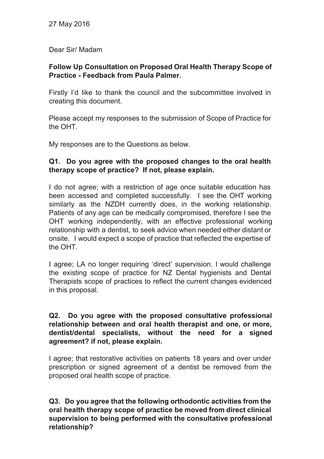Dear Sir/ Madam

# **Follow Up Consultation on Proposed Oral Health Therapy Scope of Practice Feedback from Paula Palmer.**

Firstly I'd like to thank the council and the subcommittee involved in creating this document.

Please accept my responses to the submission of Scope of Practice for the OHT.

My responses are to the Questions as below.

# **Q1. Do you agree with the proposed changes to the oral health therapy scope of practice? If not, please explain.**

I do not agree; with a restriction of age once suitable education has been accessed and completed successfully. I see the OHT working similarly as the NZDH currently does, in the working relationship. Patients of any age can be medically compromised, therefore I see the OHT working independently, with an effective professional working relationship with a dentist, to seek advice when needed either distant or onsite. I would expect a scope of practice that reflected the expertise of the OHT.

I agree; LA no longer requiring 'direct' supervision. I would challenge the existing scope of practice for NZ Dental hygienists and Dental Therapists scope of practices to reflect the current changes evidenced in this proposal.

### **Q2. Do you agree with the proposed consultative professional relationship between and oral health therapist and one, or more, dentist/dental specialists, without the need for a signed agreement? if not, please explain.**

I agree; that restorative activities on patients 18 years and over under prescription or signed agreement of a dentist be removed from the proposed oral health scope of practice.

**Q3. Do you agree that the following orthodontic activities from the oral health therapy scope of practice be moved from direct clinical supervision to being performed with the consultative professional relationship?**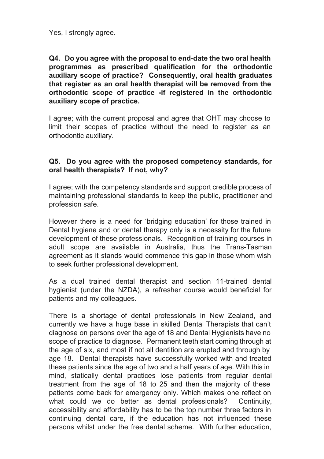Yes, I strongly agree.

**Q4. Do you agree with the proposal to enddate the two oral health programmes as prescribed qualification for the orthodontic auxiliary scope of practice? Consequently, oral health graduates that register as an oral health therapist will be removed from the orthodontic scope of practice if registered in the orthodontic auxiliary scope of practice.**

I agree; with the current proposal and agree that OHT may choose to limit their scopes of practice without the need to register as an orthodontic auxiliary.

#### **Q5. Do you agree with the proposed competency standards, for oral health therapists? If not, why?**

I agree; with the competency standards and support credible process of maintaining professional standards to keep the public, practitioner and profession safe.

However there is a need for 'bridging education' for those trained in Dental hygiene and or dental therapy only is a necessity for the future development of these professionals. Recognition of training courses in adult scope are available in Australia, thus the Trans-Tasman agreement as it stands would commence this gap in those whom wish to seek further professional development.

As a dual trained dental therapist and section 11-trained dental hygienist (under the NZDA), a refresher course would beneficial for patients and my colleagues.

There is a shortage of dental professionals in New Zealand, and currently we have a huge base in skilled Dental Therapists that can't diagnose on persons over the age of 18 and Dental Hygienists have no scope of practice to diagnose. Permanent teeth start coming through at the age of six, and most if not all dentition are erupted and through by age 18. Dental therapists have successfully worked with and treated these patients since the age of two and a half years of age. With this in mind, statically dental practices lose patients from regular dental treatment from the age of 18 to 25 and then the majority of these patients come back for emergency only. Which makes one reflect on what could we do better as dental professionals? Continuity, accessibility and affordability has to be the top number three factors in continuing dental care, if the education has not influenced these persons whilst under the free dental scheme. With further education,